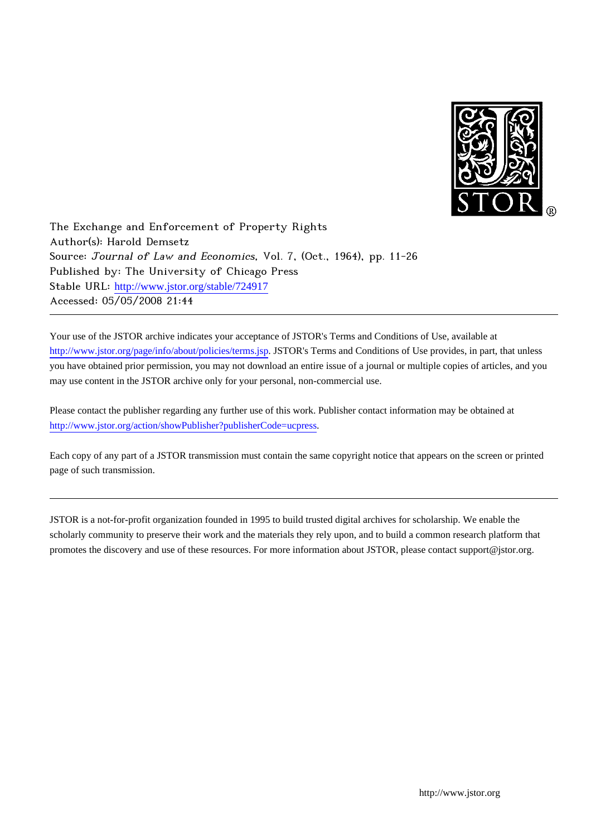

The Exchange and Enforcement of Property Rights Author(s): Harold Demsetz Source: Journal of Law and Economics, Vol. 7, (Oct., 1964), pp. 11-26 Published by: The University of Chicago Press Stable URL: [http://www.jstor.org/stable/724917](http://www.jstor.org/stable/724917?origin=JSTOR-pdf) Accessed: 05/05/2008 21:44

Your use of the JSTOR archive indicates your acceptance of JSTOR's Terms and Conditions of Use, available at <http://www.jstor.org/page/info/about/policies/terms.jsp>. JSTOR's Terms and Conditions of Use provides, in part, that unless you have obtained prior permission, you may not download an entire issue of a journal or multiple copies of articles, and you may use content in the JSTOR archive only for your personal, non-commercial use.

Please contact the publisher regarding any further use of this work. Publisher contact information may be obtained at [http://www.jstor.org/action/showPublisher?publisherCode=ucpress.](http://www.jstor.org/action/showPublisher?publisherCode=ucpress)

Each copy of any part of a JSTOR transmission must contain the same copyright notice that appears on the screen or printed page of such transmission.

JSTOR is a not-for-profit organization founded in 1995 to build trusted digital archives for scholarship. We enable the scholarly community to preserve their work and the materials they rely upon, and to build a common research platform that promotes the discovery and use of these resources. For more information about JSTOR, please contact support@jstor.org.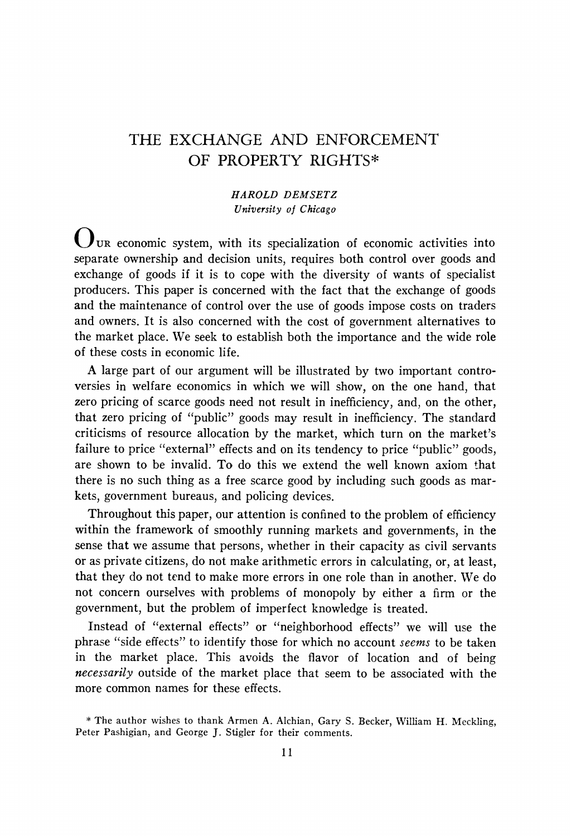## **THE EXCHANGE AND ENFORCEMENT OF PROPERTY RIGHTS\***

## **HAROLD DEMSETZ University of Chicago**

**OUR economic system, with its specialization of economic activities into separate ownership and decision units, requires both control over goods and exchange of goods if it is to cope with the diversity of wants of specialist producers. This paper is concerned with the fact that the exchange of goods and the maintenance of control over the use of goods impose costs on traders and owners. It is also concerned with the cost of government alternatives to the market place. We seek to establish both the importance and the wide role of these costs in economic life.** 

**A large part of our argument will be illustrated by two important controversies in welfare economics in which we will show, on the one hand, that zero pricing of scarce goods need not result in inefficiency, and, on the other, that zero pricing of "public" goods may result in inefficiency. The standard criticisms of resource allocation by the market, which turn on the market's failure to price "external" effects and on its tendency to price "public" goods, are shown to be invalid. To do this we extend the well known axiom that there is no such thing as a free scarce good by including such goods as markets, government bureaus, and policing devices.** 

**Throughout this paper, our attention is confined to the problem of efficiency within the framework of smoothly running markets and governments, in the sense that we assume that persons, whether in their capacity as civil servants or as private citizens, do not make arithmetic errors in calculating, or, at least, that they do not tend to make more errors in one role than in another. We do not concern ourselves with problems of monopoly by either a firm or the government, but the problem of imperfect knowledge is treated.** 

**Instead of "external effects" or "neighborhood effects" we will use the phrase "side effects" to identify those for which no account seems to be taken in the market place. This avoids the flavor of location and of being necessarily outside of the market place that seem to be associated with the more common names for these effects.** 

**<sup>\*</sup> The author wishes to thank Armen A. Alchian, Gary S. Becker, William H. MeckIing, Peter Pashigian, and George J. Stigler for their comments.**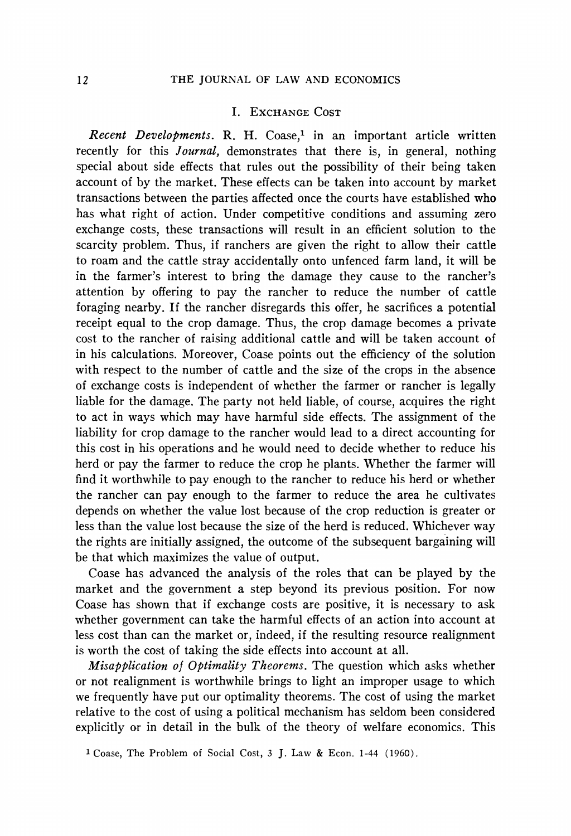## **I. EXCHANGE COST**

**Recent Developments. R. H. Coase,<sup>1</sup> in an important article written recently for this Journal, demonstrates that there is, in general, nothing special about side effects that rules out the possibility of their being taken account of by the market. These effects can be taken into account by market transactions between the parties affected once the courts have established who has what right of action. Under competitive conditions and assuming zero exchange costs, these transactions will result in an efficient solution to the scarcity problem. Thus, if ranchers are given the right to allow their cattle to roam and the cattle stray accidentally onto unfenced farm land, it will be in the farmer's interest to bring the damage they cause to the rancher's attention by offering to pay the rancher to reduce the number of cattle foraging nearby. If the rancher disregards this offer, he sacrifices a potential receipt equal to the crop damage. Thus, the crop damage becomes a private cost to the rancher of raising additional cattle and will be taken account of in his calculations. Moreover, Coase points out the efficiency of the solution with respect to the number of cattle and the size of the crops in the absence of exchange costs is independent of whether the farmer or rancher is legally liable for the damage. The party not held liable, of course, acquires the right to act in ways which may have harmful side effects. The assignment of the liability for crop damage to the rancher would lead to a direct accounting for this cost in his operations and he would need to decide whether to reduce his**  herd or pay the farmer to reduce the crop he plants. Whether the farmer wil **find it worthwhile to pay enough to the rancher to reduce his herd or whether**  the rancher can pay enough to the farmer to reduce the area he cultivate **depends on whether the value lost because of the crop reduction is greater or less than the value lost because the size of the herd is reduced. Whichever way the rights are initially assigned, the outcome of the subsequent bargaining will be that which maximizes the value of output.** 

**Coase has advanced the analysis of the roles that can be played by the market and the government a step beyond its previous position. For now Coase has shown that if exchange costs are positive, it is necessary to ask whether government can take the harmful effects of an action into account at less cost than can the market or, indeed, if the resulting resource realignment is worth the cost of taking the side effects into account at all.** 

**Misapplication of Optimality Theorems. The question which asks whether or not realignment is worthwhile brings to light an improper usage to which we frequently have put our optimality theorems. The cost of using the market relative to the cost of using a political mechanism has seldom been considered explicitly or in detail in the bulk of the theory of welfare economics. This** 

**<sup>1</sup> Coase, The Problem of Social Cost, 3 J. Law & Econ. 1-44 (1960).**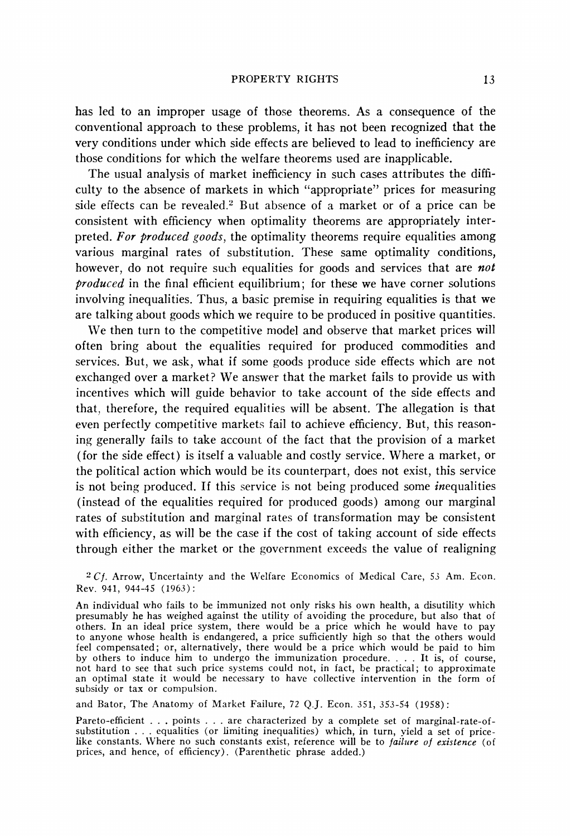**has led to an improper usage of those theorems. As a consequence of the conventional approach to these problems, it has not been recognized that the very conditions under which side effects are believed to lead to inefficiency are those conditions for which the welfare theorems used are inapplicable.** 

**The usual analysis of market inefficiency in such cases attributes the difficulty to the absence of markets in which "appropriate" prices for measuring side effects can be revealed.2 But absence of a market or of a price can be consistent with efficiency when optimality theorems are appropriately interpreted. For produced goods, the optimality theorems require equalities among various marginal rates of substitution. These same optimality conditions, however, do not require such equalities for goods and services that are not produced in the final efficient equilibrium; for these we have corner solutions involving inequalities. Thus, a basic premise in requiring equalities is that we are talking about goods which we require to be produced in positive quantities.** 

**We then turn to the competitive model and observe that market prices will often bring about the equalities required for produced commodities and services. But, we ask, what if some goods produce side effects which are not exchanged over a market? We answer that the market fails to provide us with incentives which will guide behavior to take account of the side effects and that, therefore, the required equalities will be absent. The allegation is that even perfectly competitive markets fail to achieve efficiency. But, this reasoning generally fails to take account of the fact that the provision of a market (for the side effect) is itself a valuable and costly service. Where a market, or the political action which would be its counterpart, does not exist, this service is not being produced. If this service is not being produced some inequalities (instead of the equalities required for produced goods) among our marginal rates of substitution and marginal rates of transformation may be consistent with efficiency, as will be the case if the cost of taking account of side effects through either the market or the government exceeds the value of realigning** 

**2 Cf. Arrow, Uncertainty and the Welfare Economics of Medical Care, 53 Am. Econ. Rev. 941, 944-45 (1963):** 

**and Bator, The Anatomy of Market Failure, 72 Q.J. Econ. 351, 353-54 (1958):** 

**Pareto-efficient .. . points . . . are characterized by a complete set of marginal-rate-ofsubstitution . . . equalities (or limiting inequalities) which, in turn, yield a set of price-like constants. Where no such constants exist, reference will be to failure of existence (of prices, and hence, of efficiency). (Parenthetic phrase added.)** 

**An individual who fails to be immunized not only risks his own health, a disutility which presumably he has weighed against the utility of avoiding the procedure, but also that of others. In an ideal price system, there would be a price which he would have to pay to anyone whose health is endangered, a price sufficiently high so that the others would**  feel compensated; or, alternatively, there would be a price which would be paid to him<br>by others to induce him to undergo the immunization procedure. . . . It is, of course,<br>not hard to see that such price systems could no **an optimal state it would be necessary to have collective intervention in the form of subsidy or tax or compulsion.**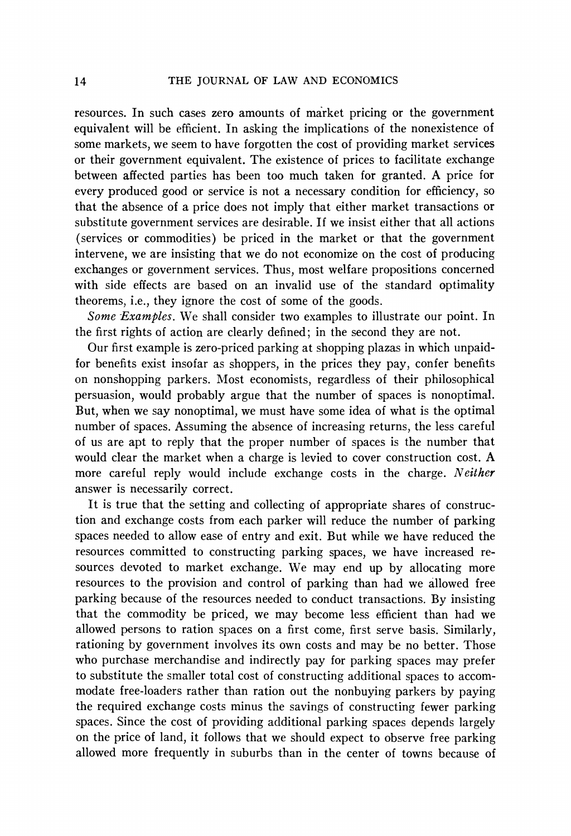**resources. In such cases zero amounts of market pricing or the government equivalent will be efficient. In asking the implications of the nonexistence of some markets, we seem to have forgotten the cost of providing market services or their government equivalent. The existence of prices to facilitate exchange between affected parties has been too much taken for granted. A price for every produced good or service is not a necessary condition for efficiency, so that the absence of a price does not imply that either market transactions or substitute government services are desirable. If we insist either that all actions (services or commodities) be priced in the market or that the government intervene, we are insisting that we do not economize on the cost of producing exchanges or government services. Thus, most welfare propositions concerned with side effects are based on an invalid use of the standard optimality theorems, i.e., they ignore the cost of some of the goods.** 

Some Examples. We shall consider two examples to illustrate our point. In **the first rights of action are clearly defined; in the second they are not.** 

**Our first example is zero-priced parking at shopping plazas in which unpaidfor benefits exist insofar as shoppers, in the prices they pay, confer benefits on nonshopping parkers. Most economists, regardless of their philosophical persuasion, would probably argue that the number of spaces is nonoptimal. But, when we say nonoptimal, we must have some idea of what is the optimal number of spaces. Assuming the absence of increasing returns, the less careful of us are apt to reply that the proper number of spaces is the number that would clear the market when a charge is levied to cover construction cost. A more careful reply would include exchange costs in the charge. Neither answer is necessarily correct.** 

**It is true that the setting and collecting of appropriate shares of construction and exchange costs from each parker will reduce the number of parking spaces needed to allow ease of entry and exit. But while we have reduced the resources committed to constructing parking spaces, we have increased resources devoted to market exchange. We may end up by allocating more resources to the provision and control of parking than had we allowed free parking because of the resources needed to conduct transactions. By insisting that the commodity be priced, we may become less efficient than had we allowed persons to ration spaces on a first come, first serve basis. Similarly, rationing by government involves its own costs and may be no better. Those who purchase merchandise and indirectly pay for parking spaces may prefer to substitute the smaller total cost of constructing additional spaces to accommodate free-loaders rather than ration out the nonbuying parkers by paying the required exchange costs minus the savings of constructing fewer parking spaces. Since the cost of providing additional parking spaces depends largely on the price of land, it follows that we should expect to observe free parking allowed more frequently in suburbs than in the center of towns because of**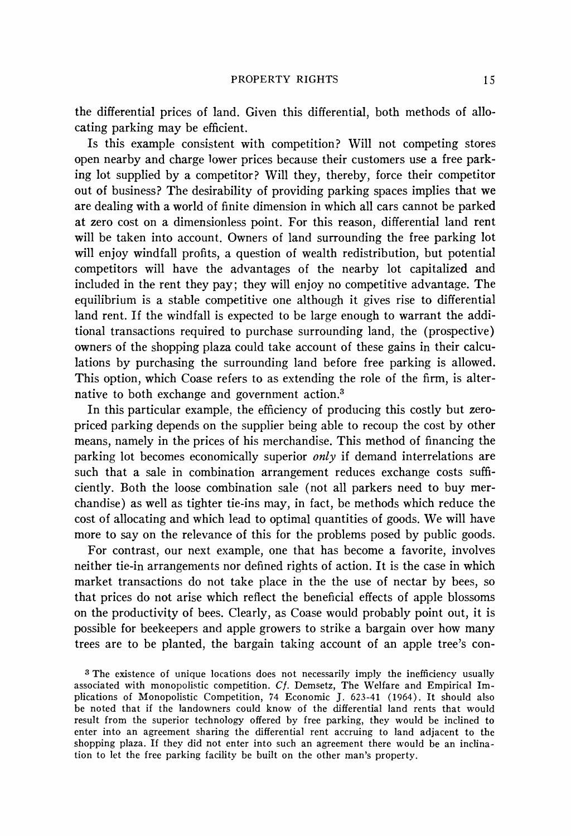**the differential prices of land. Given this differential, both methods of allocating parking may be efficient.** 

**Is this example consistent with competition? Will not competing stores open nearby and charge lower prices because their customers use a free parking lot supplied by a competitor? Will they, thereby, force their competitor out of business? The desirability of providing parking spaces implies that we are dealing with a world of finite dimension in which all cars cannot be parked at zero cost on a dimensionless point. For this reason, differential land rent will be taken into account. Owners of land surrounding the free parking lot will enjoy windfall profits, a question of wealth redistribution, but potential competitors will have the advantages of the nearby lot capitalized and included in the rent they pay; they will enjoy no competitive advantage. The equilibrium is a stable competitive one although it gives rise to differential land rent. If the windfall is expected to be large enough to warrant the additional transactions required to purchase surrounding land, the (prospective) owners of the shopping plaza could take account of these gains in their calculations by purchasing the surrounding land before free parking is allowed. This option, which Coase refers to as extending the role of the firm, is alternative to both exchange and government action.3** 

**In this particular example, the efficiency of producing this costly but zeropriced parking depends on the supplier being able to recoup the cost by other means, namely in the prices of his merchandise. This method of financing the parking lot becomes economically superior only if demand interrelations are such that a sale in combination arrangement reduces exchange costs sufficiently. Both the loose combination sale (not all parkers need to buy merchandise) as well as tighter tie-ins may, in fact, be methods which reduce the cost of allocating and which lead to optimal quantities of goods. We will have more to say on the relevance of this for the problems posed by public goods.** 

**For contrast, our next example, one that has become a favorite, involves neither tie-in arrangements nor defined rights of action. It is the case in which market transactions do not take place in the the use of nectar by bees, so that prices do not arise which reflect the beneficial effects of apple blossoms on the productivity of bees. Clearly, as Coase would probably point out, it is possible for beekeepers and apple growers to strike a bargain over how many trees are to be planted, the bargain taking account of an apple tree's con-**

**<sup>3</sup> The existence of unique locations does not necessarily imply the inefficiency usually associated with monopolistic competition. Cf. Demsetz, The Welfare and Empirical Implications of Monopolistic Competition, 74 Economic J. 623-41 (1964). It should also be noted that if the landowners could know of the differential land rents that would result from the superior technology offered by free parking, they would be inclined to enter into an agreement sharing the differential rent accruing to land adjacent to the shopping plaza. If they did not enter into such an agreement there would be an inclination to let the free parking facility be built on the other man's property.**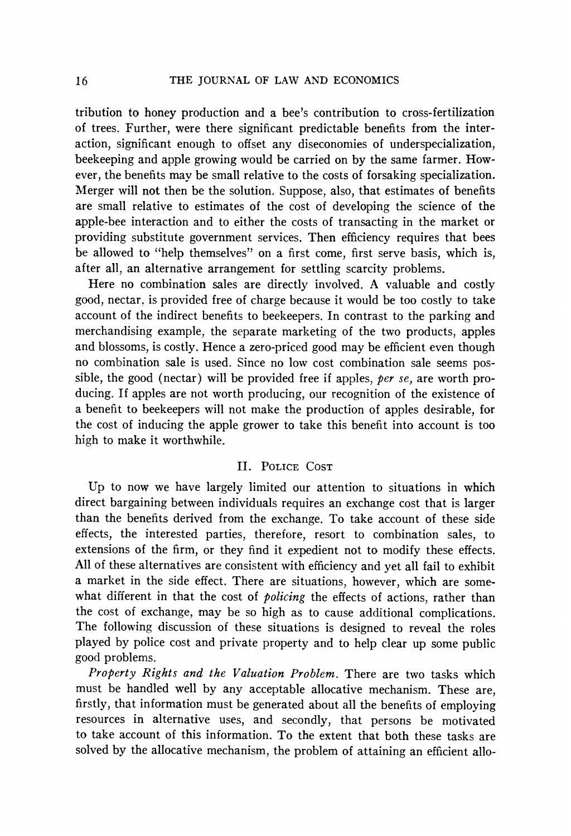**tribution to honey production and a bee's contribution to cross-fertilization of trees. Further, were there significant predictable benefits from the interaction, significant enough to offset any diseconomies of underspecialization, beekeeping and apple growing would be carried on by the same farmer. However, the benefits may be small relative to the costs of forsaking specialization. Merger will not then be the solution. Suppose, also, that estimates of benefits are small relative to estimates of the cost of developing the science of the apple-bee interaction and to either the costs of transacting in the market or providing substitute government services. Then efficiency requires that bees be allowed to "help themselves" on a first come, first serve basis, which is, after all, an alternative arrangement for settling scarcity problems.** 

**Here no combination sales are directly involved. A valuable and costly good, nectar, is provided free of charge because it would be too costly to take account of the indirect benefits to beekeepers. In contrast to the parking and merchandising example, the separate marketing of the two products, apples and blossoms, is costly. Hence a zero-priced good may be efficient even though no combination sale is used. Since no low cost combination sale seems possible, the good (nectar) will be provided free if apples, per se, are worth producing. If apples are not worth producing, our recognition of the existence of a benefit to beekeepers will not make the production of apples desirable, for the cost of inducing the apple grower to take this benefit into account is too high to make it worthwhile.** 

## **II. POLICE COST**

**Up to now we have largely limited our attention to situations in which direct bargaining between individuals requires an exchange cost that is larger than the benefits derived from the exchange. To take account of these side effects, the interested parties, therefore, resort to combination sales, to extensions of the firm, or they find it expedient not to modify these effects. All of these alternatives are consistent with efficiency and yet all fail to exhibit a market in the side effect. There are situations, however, which are some**what different in that the cost of *policing* the effects of actions, rather than the cost of exchange, may be so high as to cause additional complications. The following discussion of these situations is designed to reveal the roles **played by police cost and private property and to help clear up some public good problems.** 

**Property Rights and the Valuation Problem. There are two tasks which must be handled well by any acceptable allocative mechanism. These are, firstly, that information must be generated about all the benefits of employing resources in alternative uses, and secondly, that persons be motivated to take account of this information. To the extent that both these tasks are solved by the allocative mechanism, the problem of attaining an efficient allo-**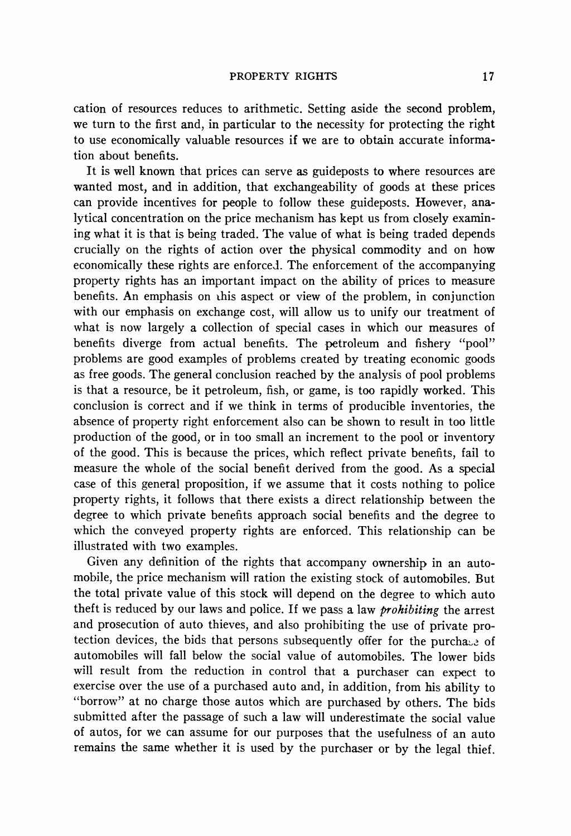**cation of resources reduces to arithmetic. Setting aside the second problem, we turn to the first and, in particular to the necessity for protecting the right to use economically valuable resources if we are to obtain accurate information about benefits.** 

**It is well known that prices can serve as guideposts to where resources are wanted most, and in addition, that exchangeability of goods at these prices can provide incentives for people to follow these guideposts. However, analytical concentration on the price mechanism has kept us from closely examining what it is that is being traded. The value of what is being traded depends crucially on the rights of action over the physical commodity and on how economically these rights are enforced. The enforcement of the accompanying property rights has an important impact on the ability of prices to measure benefits. An emphasis on this aspect or view of the problem, in conjunction with our emphasis on exchange cost, will allow us to unify our treatment of what is now largely a collection of special cases in which our measures of benefits diverge from actual benefits. The petroleum and fishery "pool" problems are good examples of problems created by treating economic goods as free goods. The general conclusion reached by the analysis of pool problems is that a resource, be it petroleum, fish, or game, is too rapidly worked. This conclusion is correct and if we think in terms of producible inventories, the absence of property right enforcement also can be shown to result in too little production of the good, or in too small an increment to the pool or inventory of the good. This is because the prices, which reflect private benefits, fail to measure the whole of the social benefit derived from the good. As a special case of this general proposition, if we assume that it costs nothing to police property rights, it follows that there exists a direct relationship between the degree to which private benefits approach social benefits and the degree to which the conveyed property rights are enforced. This relationship can be illustrated with two examples.** 

**Given any definition of the rights that accompany ownership in an automobile, the price mechanism will ration the existing stock of automobiles. But the total private value of this stock will depend on the degree to which auto theft is reduced by our laws and police. If we pass a law prohibiting the arrest and prosecution of auto thieves, and also prohibiting the use of private protection devices, the bids that persons subsequently offer for the purcha,~ of automobiles will fall below the social value of automobiles. The lower bids will result from the reduction in control that a purchaser can expect to exercise over the use of a purchased auto and, in addition, from his ability to "borrow" at no charge those autos which are purchased by others. The bids submitted after the passage of such a law will underestimate the social value of autos, for we can assume for our purposes that the usefulness of an auto remains the same whether it is used by the purchaser or by the legal thief.**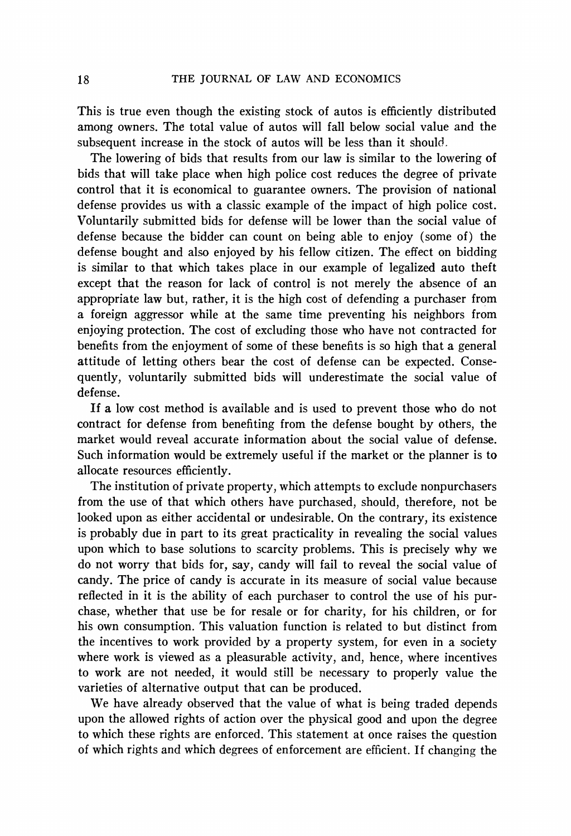**This is true even though the existing stock of autos is efficiently distributed among owners. The total value of autos will fall below social value and the subsequent increase in the stock of autos will be less than it should.** 

**The lowering of bids that results from our law is similar to the lowering of bids that will take place when high police cost reduces the degree of private control that it is economical to guarantee owners. The provision of national defense provides us with a classic example of the impact of high police cost. Voluntarily submitted bids for defense will be lower than the social value of defense because the bidder can count on being able to enjoy (some of) the defense bought and also enjoyed by his fellow citizen. The effect on bidding is similar to that which takes place in our example of legalized auto theft except that the reason for lack of control is not merely the absence of an appropriate law but, rather, it is the high cost of defending a purchaser from a foreign aggressor while at the same time preventing his neighbors from enjoying protection. The cost of excluding those who have not contracted for benefits from the enjoyment of some of these benefits is so high that a general attitude of letting others bear the cost of defense can be expected. Consequently, voluntarily submitted bids will underestimate the social value of defense.** 

**If a low cost method is available and is used to prevent those who do not contract for defense from benefiting from the defense bought by others, the market would reveal accurate information about the social value of defense. Such information would be extremely useful if the market or the planner is to allocate resources efficiently.** 

**The institution of private property, which attempts to exclude nonpurchasers from the use of that which others have purchased, should, therefore, not be looked upon as either accidental or undesirable. On the contrary, its existence is probably due in part to its great practicality in revealing the social values upon which to base solutions to scarcity problems. This is precisely why we do not worry that bids for, say, candy will fail to reveal the social value of candy. The price of candy is accurate in its measure of social value because reflected in it is the ability of each purchaser to control the use of his purchase, whether that use be for resale or for charity, for his children, or for his own consumption. This valuation function is related to but distinct from the incentives to work provided by a property system, for even in a society where work is viewed as a pleasurable activity, and, hence, where incentives to work are not needed, it would still be necessary to properly value the varieties of alternative output that can be produced.** 

**We have already observed that the value of what is being traded depends upon the allowed rights of action over the physical good and upon the degree to which these rights are enforced. This statement at once raises the question of which rights and which degrees of enforcement are efficient. If changing the**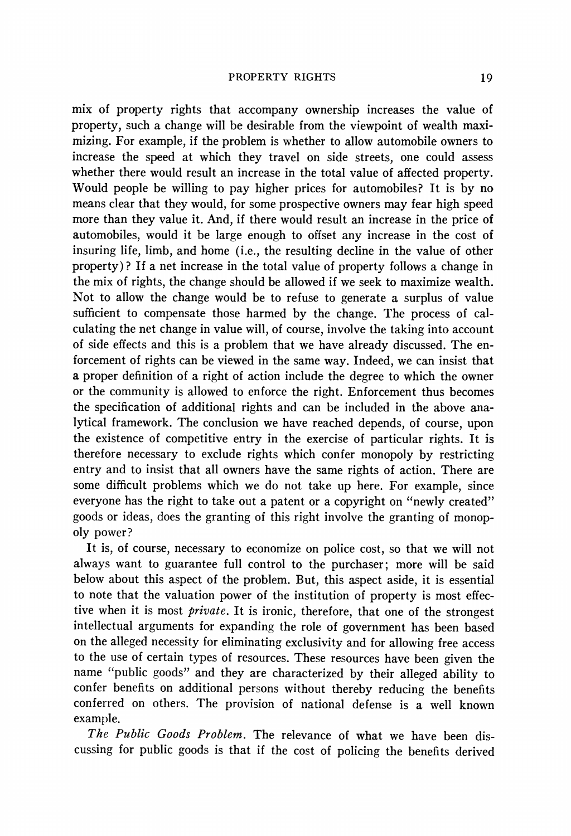**mix of property rights that accompany ownership increases the value of property, such a change will be desirable from the viewpoint of wealth maximizing. For example, if the problem is whether to allow automobile owners to increase the speed at which they travel on side streets, one could assess whether there would result an increase in the total value of affected property. Would people be willing to pay higher prices for automobiles? It is by no means clear that they would, for some prospective owners may fear high speed more than they value it. And, if there would result an increase in the price of automobiles, would it be large enough to offset any increase in the cost of insuring life, limb, and home (i.e., the resulting decline in the value of other property) ? If a net increase in the total value of property follows a change in the mix of rights, the change should be allowed if we seek to maximize wealth. Not to allow the change would be to refuse to generate a surplus of value sufficient to compensate those harmed by the change. The process of calculating the net change in value will, of course, involve the taking into account of side effects and this is a problem that we have already discussed. The enforcement of rights can be viewed in the same way. Indeed, we can insist that a proper definition of a right of action include the degree to which the owner or the community is allowed to enforce the right. Enforcement thus becomes the specification of additional rights and can be included in the above analytical framework. The conclusion we have reached depends, of course, upon the existence of competitive entry in the exercise of particular rights. It is therefore necessary to exclude rights which confer monopoly by restricting entry and to insist that all owners have the same rights of action. There are some difficult problems which we do not take up here. For example, since everyone has the right to take out a patent or a copyright on "newly created" goods or ideas, does the granting of this right involve the granting of monopoly power?** 

**It is, of course, necessary to economize on police cost, so that we will not always want to guarantee full control to the purchaser; more will be said below about this aspect of the problem. But, this aspect aside, it is essential to note that the valuation power of the institution of property is most effective when it is most private. It is ironic, therefore, that one of the strongest intellectual arguments for expanding the role of government has been based on the alleged necessity for eliminating exclusivity and for allowing free access to the use of certain types of resources. These resources have been given the name "public goods" and they are characterized by their alleged ability to confer benefits on additional persons without thereby reducing the benefits conferred on others. The provision of national defense is a well known example.** 

**The Public Goods Problem. The relevance of what we have been discussing for public goods is that if the cost of policing the benefits derived**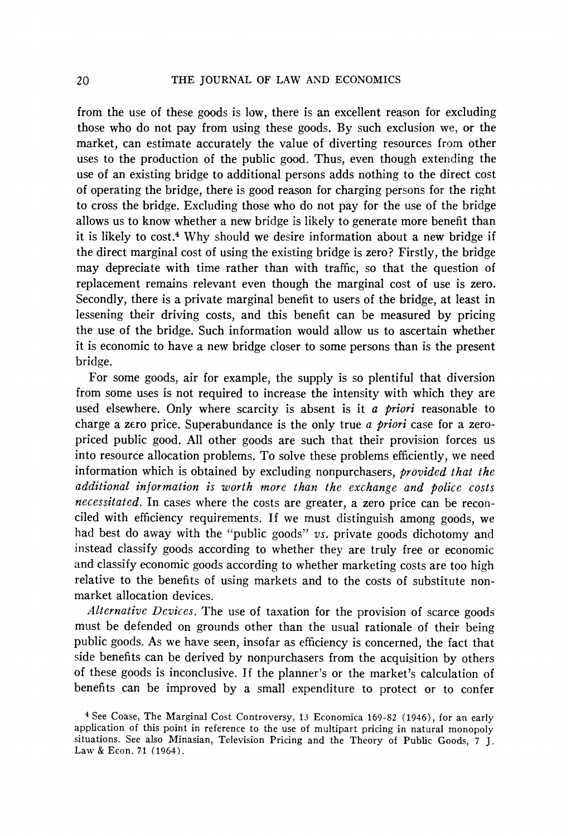**from the use of these goods is low, there is an excellent reason for excluding those who do not pay from using these goods. By such exclusion we, or the market, can estimate accurately the value of diverting resources from other uses to the production of the public good. Thus, even though extending the use of an existing bridge to additional persons adds nothing to the direct cost of operating the bridge, there is good reason for charging persons for the right to cross the bridge. Excluding those who do not pay for the use of the bridge allows us to know whether a new bridge is likely to generate more benefit than it is likely to cost.4 Why should we desire information about a new bridge if the direct marginal cost of using the existing bridge is zero? Firstly, the bridge may depreciate with time rather than with traffic, so that the question of replacement remains relevant even though the marginal cost of use is zero. Secondly, there is a private marginal benefit to users of the bridge, at least in lessening their driving costs, and this benefit can be measured by pricing the use of the bridge. Such information would allow us to ascertain whether it is economic to have a new bridge closer to some persons than is the present bridge.** 

**For some goods, air for example, the supply is so plentiful that diversion from some uses is not required to increase the intensity with which they are used elsewhere. Only where scarcity is absent is it a priori reasonable to charge a zero price. Superabundance is the only true a priori case for a zeropriced public good. All other goods are such that their provision forces us into resource allocation problems. To solve these problems efficiently, we need information which is obtained by excluding nonpurchasers, provided that the additional information is worth more than the exchange and police costs necessitated. In cases where the costs are greater, a zero price can be reconciled with efficiency requirements. If we must distinguish among goods, we had best do away with the "public goods" vs. private goods dichotomy and instead classify goods according to whether they are truly free or economic and classify economic goods according to whether marketing costs are too high relative to the benefits of using markets and to the costs of substitute nonmarket allocation devices.** 

**Alternative Devices. The use of taxation for the provision of scarce goods must be defended on grounds other than the usual rationale of their being public goods. As we have seen, insofar as efficiency is concerned, the fact that side benefits can be derived by nonpurchasers from the acquisition by others of these goods is inconclusive. If the planner's or the market's calculation of benefits can be improved by a small expenditure to protect or to confer** 

**<sup>4</sup> See Coase, The Marginal Cost Controversy, 13 Economica 169-82 (1946), for an early application of this point in reference to the use of multipart pricing in natural monopoly situations. See also Minasian, Television Pricing and the Theory of Public Goods, 7 J. Law & Econ. 71 (1964).**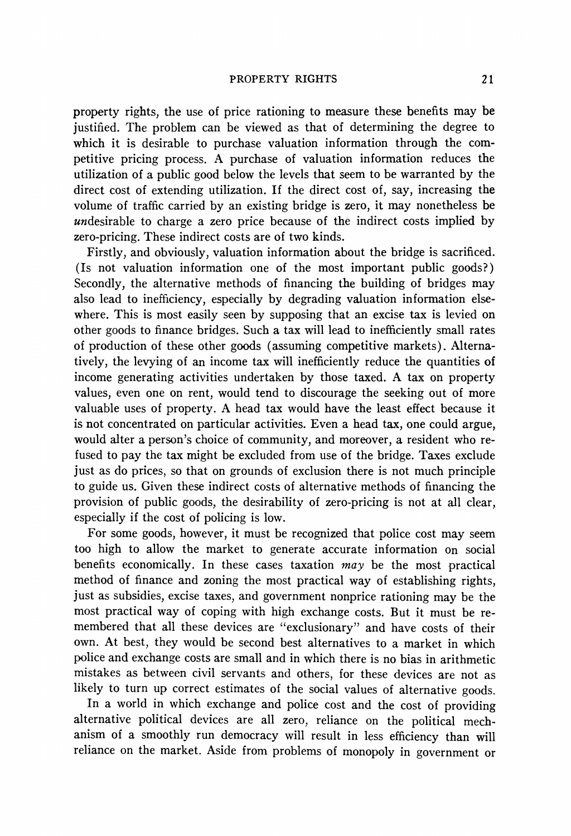**property rights, the use of price rationing to measure these benefits may be justified. The problem can be viewed as that of determining the degree to**  which it is desirable to purchase valuation information through the com**petitive pricing process. A purchase of valuation information reduces the utilization of a public good below the levels that seem to be warranted by the direct cost of extending utilization. If the direct cost of, say, increasing the volume of traffic carried by an existing bridge is zero, it may nonetheless be undesirable to charge a zero price because of the indirect costs implied by zero-pricing. These indirect costs are of two kinds.** 

**Firstly, and obviously, valuation information about the bridge is sacrificed. (Is not valuation information one of the most important public goods?) Secondly, the alternative methods of financing the building of bridges may also lead to inefficiency, especially by degrading valuation information elsewhere. This is most easily seen by supposing that an excise tax is levied on other goods to finance bridges. Such a tax will lead to inefficiently small rates of production of these other goods (assuming competitive markets). Alternatively, the levying of an income tax will inefficiently reduce the quantities of income generating activities undertaken by those taxed. A tax on property values, even one on rent, would tend to discourage the seeking out of more valuable uses of property. A head tax would have the least effect because it is not concentrated on particular activities. Even a head tax, one could argue, would alter a person's choice of community, and moreover, a resident who refused to pay the tax might be excluded from use of the bridge. Taxes exclude just as do prices, so that on grounds of exclusion there is not much principle to guide us. Given these indirect costs of alternative methods of financing the provision of public goods, the desirability of zero-pricing is not at all clear, especially if the cost of policing is low.** 

**For some goods, however, it must be recognized that police cost may seem too high to allow the market to generate accurate information on social benefits economically. In these cases taxation may be the most practical method of finance and zoning the most practical way of establishing rights, just as subsidies, excise taxes, and government nonprice rationing may be the most practical way of coping with high exchange costs. But it must be remembered that all these devices are "exclusionary" and have costs of their own. At best, they would be second best alternatives to a market in which police and exchange costs are small and in which there is no bias in arithmetic mistakes as between civil servants and others, for these devices are not as likely to turn up correct estimates of the social values of alternative goods.** 

**In a world in which exchange and police cost and the cost of providing alternative political devices are all zero, reliance on the political mechanism of a smoothly run democracy will result in less efficiency than will reliance on the market. Aside from problems of monopoly in government or**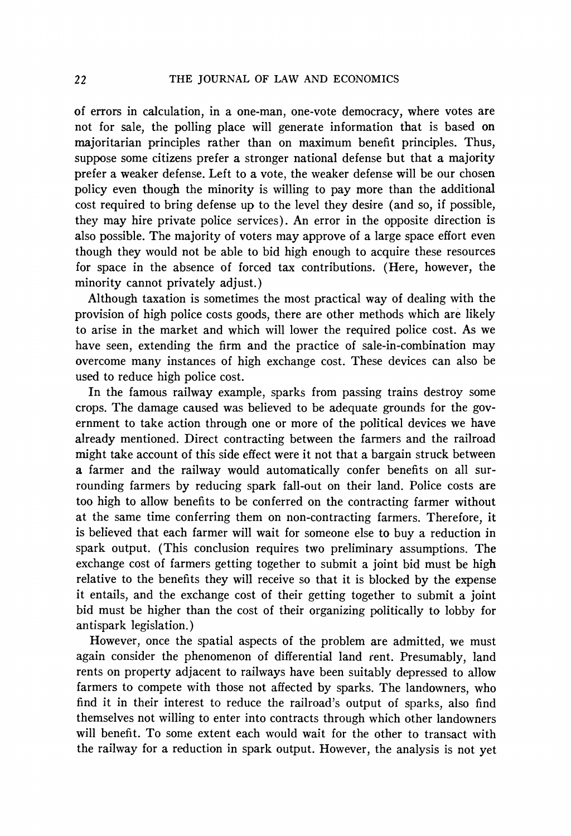**of errors in calculation, in a one-man, one-vote democracy, where votes are not for sale, the polling place will generate information that is based on majoritarian principles rather than on maximum benefit principles. Thus, suppose some citizens prefer a stronger national defense but that a majority prefer a weaker defense. Left to a vote, the weaker defense will be our chosen policy even though the minority is willing to pay more than the additional cost required to bring defense up to the level they desire (and so, if possible, they may hire private police services). An error in the opposite direction is also possible. The majority of voters may approve of a large space effort even though they would not be able to bid high enough to acquire these resources for space in the absence of forced tax contributions. (Here, however, the minority cannot privately adjust.)** 

**Although taxation is sometimes the most practical way of dealing with the provision of high police costs goods, there are other methods which are likely to arise in the market and which will lower the required police cost. As we have seen, extending the firm and the practice of sale-in-combination may overcome many instances of high exchange cost. These devices can also be used to reduce high police cost.** 

**In the famous railway example, sparks from passing trains destroy some crops. The damage caused was believed to be adequate grounds for the government to take action through one or more of the political devices we have already mentioned. Direct contracting between the farmers and the railroad might take account of this side effect were it not that a bargain struck between a farmer and the railway would automatically confer benefits on all surrounding farmers by reducing spark fall-out on their land. Police costs are too high to allow benefits to be conferred on the contracting farmer without at the same time conferring them on non-contracting farmers. Therefore, it is believed that each farmer will wait for someone else to buy a reduction in spark output. (This conclusion requires two preliminary assumptions. The exchange cost of farmers getting together to submit a joint bid must be high relative to the benefits they will receive so that it is blocked by the expense it entails, and the exchange cost of their getting together to submit a joint bid must be higher than the cost of their organizing politically to lobby for antispark legislation.)** 

**However, once the spatial aspects of the problem are admitted, we must again consider the phenomenon of differential land rent. Presumably, land rents on property adjacent to railways have been suitably depressed to allow farmers to compete with those not affected by sparks. The landowners, who find it in their interest to reduce the railroad's output of sparks, also find themselves not willing to enter into contracts through which other landowners will benefit. To some extent each would wait for the other to transact with the railway for a reduction in spark output. However, the analysis is not yet**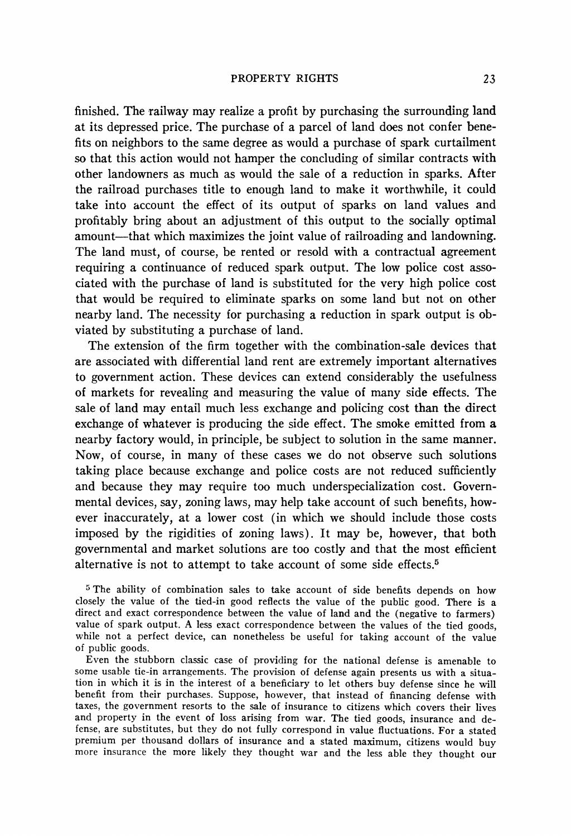**finished. The railway may realize a profit by purchasing the surrounding land at its depressed price. The purchase of a parcel of land does not confer benefits on neighbors to the same degree as would a purchase of spark curtailment so that this action would not hamper the concluding of similar contracts with other landowners as much as would the sale of a reduction in sparks. After the railroad purchases title to enough land to make it worthwhile, it could take into account the effect of its output of sparks on land values and profitably bring about an adjustment of this output to the socially optimal amount-that which maximizes the joint value of railroading and landowning. The land must, of course, be rented or resold with a contractual agreement requiring a continuance of reduced spark output. The low police cost associated with the purchase of land is substituted for the very high police cost that would be required to eliminate sparks on some land but not on other nearby land. The necessity for purchasing a reduction in spark output is obviated by substituting a purchase of land.** 

**The extension of the firm together with the combination-sale devices that are associated with differential land rent are extremely important alternatives to government action. These devices can extend considerably the usefulness of markets for revealing and measuring the value of many side effects. The sale of land may entail much less exchange and policing cost than the direct exchange of whatever is producing the side effect. The smoke emitted from a nearby factory would, in principle, be subject to solution in the same manner. Now, of course, in many of these cases we do not observe such solutions taking place because exchange and police costs are not reduced sufficiently and because they may require too much underspecialization cost. Governmental devices, say, zoning laws, may help take account of such benefits, however inaccurately, at a lower cost (in which we should include those costs imposed by the rigidities of zoning laws). It may be, however, that both governmental and market solutions are too costly and that the most efficient alternative is not to attempt to take account of some side effects.5** 

**5 The ability of combination sales to take account of side benefits depends on how closely the value of the tied-in good reflects the value of the public good. There is a direct and exact correspondence between the value of land and the (negative to farmers) value of spark output. A less exact correspondence between the values of the tied goods, while not a perfect device, can nonetheless be useful for taking account of the value of public goods.** 

**Even the stubborn classic case of providing for the national defense is amenable to some usable tie-in arrangements. The provision of defense again presents us with a situation in which it is in the interest of a beneficiary to let others buy defense since he will benefit from their purchases. Suppose, however, that instead of financing defense with taxes, the government resorts to the sale of insurance to citizens which covers their lives and property in the event of loss arising from war. The tied goods, insurance and defense, are substitutes, but they do not fully correspond in value fluctuations. For a stated premium per thousand dollars of insurance and a stated maximum, citizens would buy more insurance the more likely they thought war and the less able they thought our**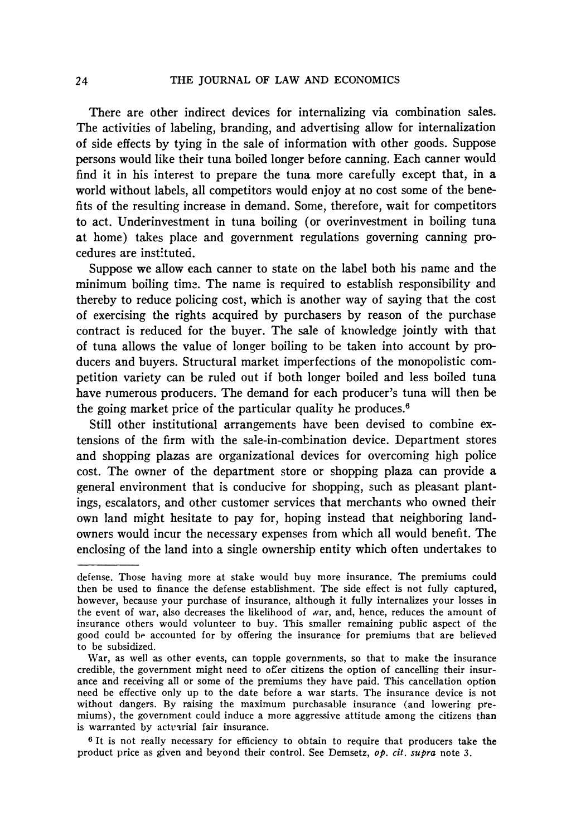**There are other indirect devices for internalizing via combination sales. The activities of labeling, branding, and advertising allow for internalization of side effects by tying in the sale of information with other goods. Suppose persons would like their tuna boiled longer before canning. Each canner would find it in his interest to prepare the tuna more carefully except that, in a world without labels, all competitors would enjoy at no cost some of the benefits of the resulting increase in demand. Some, therefore, wait for competitors to act. Underinvestment in tuna boiling (or overinvestment in boiling tuna at home) takes place and government regulations governing canning procedures are instituted.** 

**Suppose we allow each canner to state on the label both his name and the minimum boiling time. The name is required to establish responsibility and thereby to reduce policing cost, which is another way of saying that the cost of exercising the rights acquired by purchasers by reason of the purchase contract is reduced for the buyer. The sale of knowledge jointly with that of tuna allows the value of longer boiling to be taken into account by producers and buyers. Structural market imperfections of the monopolistic competition variety can be ruled out if both longer boiled and less boiled tuna have numerous producers. The demand for each producer's tuna will then be the going market price of the particular quality he produces.6** 

**Still other institutional arrangements have been devised to combine extensions of the firm with the sale-in-combination device. Department stores and shopping plazas are organizational devices for overcoming high police cost. The owner of the department store or shopping plaza can provide a general environment that is conducive for shopping, such as pleasant plantings, escalators, and other customer services that merchants who owned their own land might hesitate to pay for, hoping instead that neighboring landowners would incur the necessary expenses from which all would benefit. The enclosing of the land into a single ownership entity which often undertakes to** 

**defense. Those having more at stake would buy more insurance. The premiums could then be used to finance the defense establishment. The side effect is not fully captured, however, because your purchase of insurance, although it fully internalizes your losses in**  the event of war, also decreases the likelihood of war, and, hence, reduces the amount of **insurance others would volunteer to buy. This smaller remaining public aspect of the good could be accounted for by offering the insurance for premiums tbat are believed to be subsidized.** 

**War, as well as other events, can topple governments, so that to make the insurance credible, the government might need to offer citizens the option of cancelling their insurance and receiving all or some of the premiums they have paid. This cancellation option need be effective only up to the date before a war starts. The insurance device is not without dangers. By raising the maximum purchasable insurance (and lowering premiums), the government could induce a more aggressive attitude among the citizens than is warranted by actvarial fair insurance.** 

**<sup>6</sup> It is not really necessary for efficiency to obtain to require that producers take the product price as given and beyond their control. See Demsetz, op. cit. supra note 3.**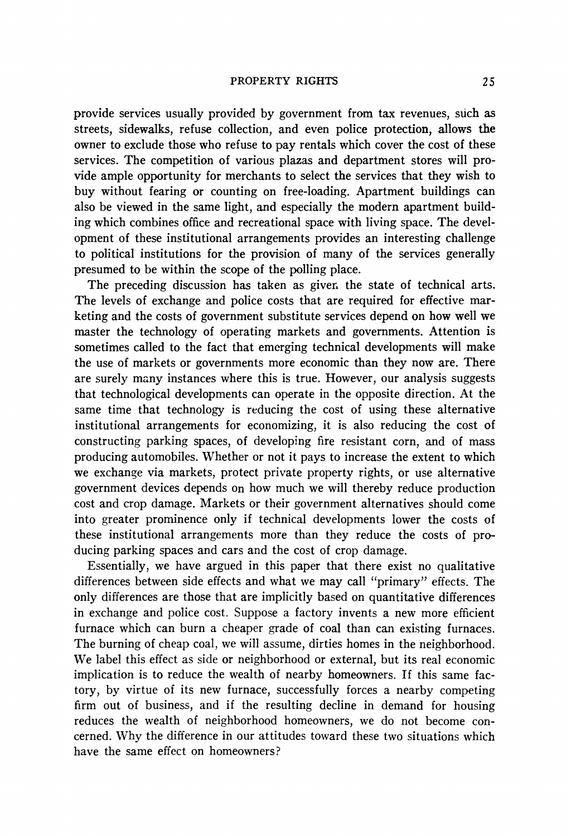**provide services usually provided by government from tax revenues, such as streets, sidewalks, refuse collection, and even police protection, allows the owner to exclude those who refuse to pay rentals which cover the cost of these services. The competition of various plazas and department stores will provide ample opportunity for merchants to select the services that they wish to buy without fearing or counting on free-loading. Apartment buildings can also be viewed in the same light, and especially the modern apartment building which combines office and recreational space with living space. The development of these institutional arrangements provides an interesting challenge to political institutions for the provision of many of the services generally presumed to be within the scope of the polling place.** 

**The preceding discussion has taken as given the state of technical arts. The levels of exchange and police costs that are required for effective marketing and the costs of government substitute services depend on how well we master the technology of operating markets and governments. Attention is sometimes called to the fact that emerging technical developments will make the use of markets or governments more economic than they now are. There are surely many instances where this is true. However, our analysis suggests that technological developments can operate in the opposite direction. At the same time that technology is reducing the cost of using these alternative institutional arrangements for economizing, it is also reducing the cost of constructing parking spaces, of developing fire resistant corn, and of mass producing automobiles. Whether or not it pays to increase the extent to which we exchange via markets, protect private property rights, or use alternative government devices depends on how much we will thereby reduce production cost and crop damage. Markets or their government alternatives should come into greater prominence only if technical developments lower the costs of these institutional arrangements more than they reduce the costs of producing parking spaces and cars and the cost of crop damage.** 

**Essentially, we have argued in this paper that there exist no qualitative differences between side effects and what we may call "primary" effects. The only differences are those that are implicitly based on quantitative differences in exchange and police cost. Suppose a factory invents a new more efficient furnace which can burn a cheaper grade of coal than can existing furnaces. The burning of cheap coal, we will assume, dirties homes in the neighborhood. We label this effect as side or neighborhood or external, but its real economic implication is to reduce the wealth of nearby homeowners. If this same factory, by virtue of its new furnace, successfully forces a nearby competing firm out of business, and if the resulting decline in demand for housing reduces the wealth of neighborhood homeowners, we do not become concerned. Why the difference in our attitudes toward these two situations which have the same effect on homeowners?**